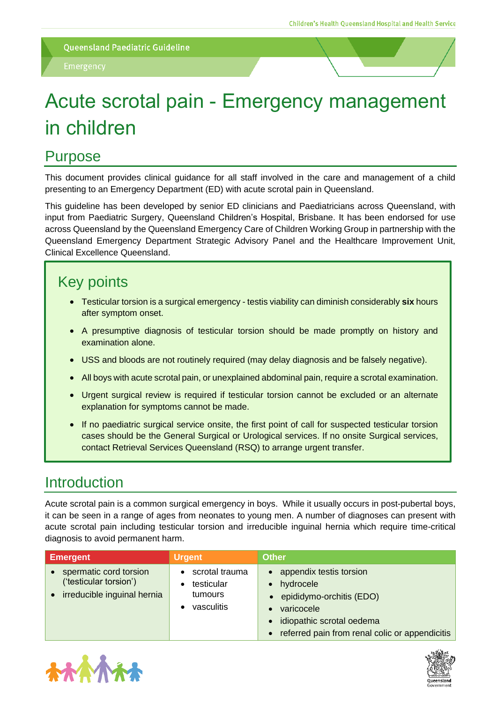# Acute scrotal pain - Emergency management in children

# Purpose

This document provides clinical guidance for all staff involved in the care and management of a child presenting to an Emergency Department (ED) with acute scrotal pain in Queensland.

This guideline has been developed by senior ED clinicians and Paediatricians across Queensland, with input from Paediatric Surgery, Queensland Children's Hospital, Brisbane. It has been endorsed for use across Queensland by the Queensland Emergency Care of Children Working Group in partnership with the Queensland Emergency Department Strategic Advisory Panel and the Healthcare Improvement Unit, Clinical Excellence Queensland.

# Key points

- Testicular torsion is a surgical emergency testis viability can diminish considerably **six** hours after symptom onset.
- A presumptive diagnosis of testicular torsion should be made promptly on history and examination alone.
- USS and bloods are not routinely required (may delay diagnosis and be falsely negative).
- All boys with acute scrotal pain, or unexplained abdominal pain, require a scrotal examination.
- Urgent surgical review is required if testicular torsion cannot be excluded or an alternate explanation for symptoms cannot be made.
- If no paediatric surgical service onsite, the first point of call for suspected testicular torsion cases should be the General Surgical or Urological services. If no onsite Surgical services, contact Retrieval Services Queensland (RSQ) to arrange urgent transfer.

# **Introduction**

Acute scrotal pain is a common surgical emergency in boys. While it usually occurs in post-pubertal boys, it can be seen in a range of ages from neonates to young men. A number of diagnoses can present with acute scrotal pain including testicular torsion and irreducible inguinal hernia which require time-critical diagnosis to avoid permanent harm.

| <b>Emergent</b>                                                                 | <b>Urgent</b>                                         | <b>Other</b>                                                                                                                                                    |
|---------------------------------------------------------------------------------|-------------------------------------------------------|-----------------------------------------------------------------------------------------------------------------------------------------------------------------|
| spermatic cord torsion<br>('testicular torsion')<br>irreducible inguinal hernia | scrotal trauma<br>testicular<br>tumours<br>vasculitis | appendix testis torsion<br>hydrocele<br>• epididymo-orchitis (EDO)<br>varicocele<br>idiopathic scrotal oedema<br>referred pain from renal colic or appendicitis |



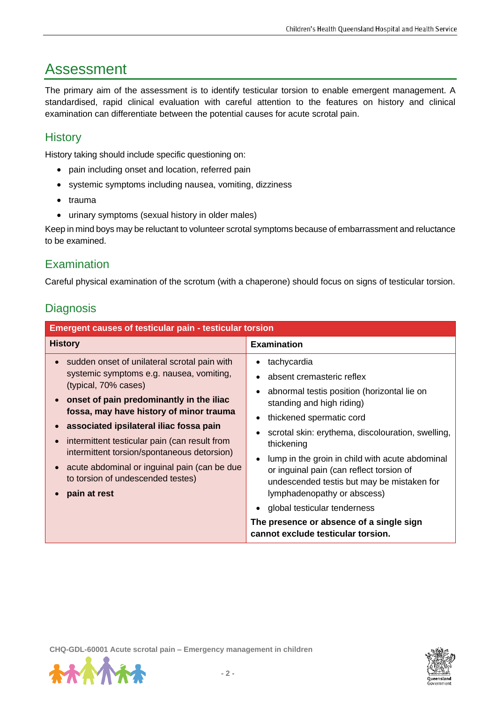# Assessment

The primary aim of the assessment is to identify testicular torsion to enable emergent management. A standardised, rapid clinical evaluation with careful attention to the features on history and clinical examination can differentiate between the potential causes for acute scrotal pain.

### **History**

History taking should include specific questioning on:

- pain including onset and location, referred pain
- systemic symptoms including nausea, vomiting, dizziness
- trauma
- urinary symptoms (sexual history in older males)

Keep in mind boys may be reluctant to volunteer scrotal symptoms because of embarrassment and reluctance to be examined.

#### Examination

Careful physical examination of the scrotum (with a chaperone) should focus on signs of testicular torsion.

#### **Diagnosis**

| <b>Emergent causes of testicular pain - testicular torsion</b>                                                                                                                                                                                                                                                                                                                                                                                            |                                                                                                                                                                                                                                                                                                                                                                                                                                                                                                                                |  |  |  |
|-----------------------------------------------------------------------------------------------------------------------------------------------------------------------------------------------------------------------------------------------------------------------------------------------------------------------------------------------------------------------------------------------------------------------------------------------------------|--------------------------------------------------------------------------------------------------------------------------------------------------------------------------------------------------------------------------------------------------------------------------------------------------------------------------------------------------------------------------------------------------------------------------------------------------------------------------------------------------------------------------------|--|--|--|
| <b>History</b>                                                                                                                                                                                                                                                                                                                                                                                                                                            | <b>Examination</b>                                                                                                                                                                                                                                                                                                                                                                                                                                                                                                             |  |  |  |
| • sudden onset of unilateral scrotal pain with<br>systemic symptoms e.g. nausea, vomiting,<br>(typical, 70% cases)<br>onset of pain predominantly in the iliac<br>fossa, may have history of minor trauma<br>associated ipsilateral iliac fossa pain<br>intermittent testicular pain (can result from<br>intermittent torsion/spontaneous detorsion)<br>acute abdominal or inguinal pain (can be due<br>to torsion of undescended testes)<br>pain at rest | tachycardia<br>absent cremasteric reflex<br>abnormal testis position (horizontal lie on<br>standing and high riding)<br>thickened spermatic cord<br>$\bullet$<br>scrotal skin: erythema, discolouration, swelling,<br>thickening<br>lump in the groin in child with acute abdominal<br>or inguinal pain (can reflect torsion of<br>undescended testis but may be mistaken for<br>lymphadenopathy or abscess)<br>global testicular tenderness<br>The presence or absence of a single sign<br>cannot exclude testicular torsion. |  |  |  |



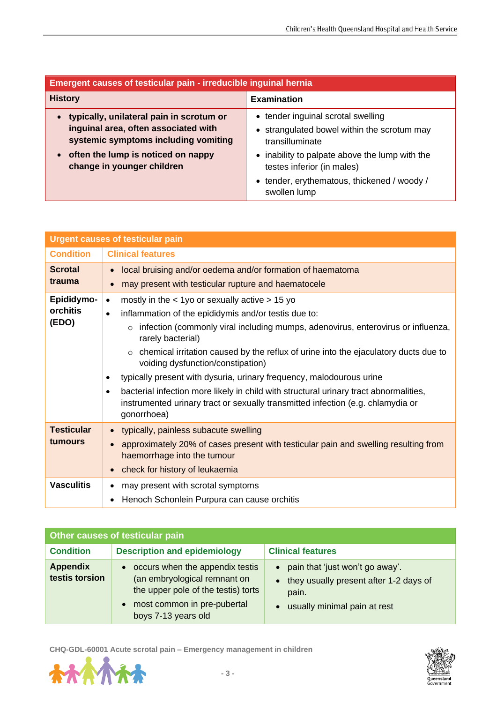| <b>Emergent causes of testicular pain - irreducible inguinal hernia</b>      |                                                                              |  |  |  |
|------------------------------------------------------------------------------|------------------------------------------------------------------------------|--|--|--|
| <b>History</b>                                                               | <b>Examination</b>                                                           |  |  |  |
| typically, unilateral pain in scrotum or<br>$\bullet$                        | • tender inguinal scrotal swelling                                           |  |  |  |
| inguinal area, often associated with<br>systemic symptoms including vomiting | • strangulated bowel within the scrotum may<br>transilluminate               |  |  |  |
| often the lump is noticed on nappy<br>change in younger children             | • inability to palpate above the lump with the<br>testes inferior (in males) |  |  |  |
|                                                                              | • tender, erythematous, thickened / woody /<br>swollen lump                  |  |  |  |

| <b>Urgent causes of testicular pain</b> |                                                                                                                                                                                                      |  |  |  |  |
|-----------------------------------------|------------------------------------------------------------------------------------------------------------------------------------------------------------------------------------------------------|--|--|--|--|
| <b>Condition</b>                        | <b>Clinical features</b>                                                                                                                                                                             |  |  |  |  |
| <b>Scrotal</b>                          | local bruising and/or oedema and/or formation of haematoma<br>$\bullet$                                                                                                                              |  |  |  |  |
| trauma                                  | may present with testicular rupture and haematocele                                                                                                                                                  |  |  |  |  |
| Epididymo-                              | mostly in the $<$ 1yo or sexually active $>$ 15 yo<br>$\bullet$                                                                                                                                      |  |  |  |  |
| orchitis                                | inflammation of the epididymis and/or testis due to:<br>$\bullet$                                                                                                                                    |  |  |  |  |
| (EDO)                                   | infection (commonly viral including mumps, adenovirus, enterovirus or influenza,<br>$\circ$<br>rarely bacterial)                                                                                     |  |  |  |  |
|                                         | chemical irritation caused by the reflux of urine into the ejaculatory ducts due to<br>$\circ$<br>voiding dysfunction/constipation)                                                                  |  |  |  |  |
|                                         | typically present with dysuria, urinary frequency, malodourous urine<br>٠                                                                                                                            |  |  |  |  |
|                                         | bacterial infection more likely in child with structural urinary tract abnormalities,<br>$\bullet$<br>instrumented urinary tract or sexually transmitted infection (e.g. chlamydia or<br>gonorrhoea) |  |  |  |  |
| <b>Testicular</b>                       | typically, painless subacute swelling                                                                                                                                                                |  |  |  |  |
| tumours                                 | approximately 20% of cases present with testicular pain and swelling resulting from<br>haemorrhage into the tumour                                                                                   |  |  |  |  |
|                                         | check for history of leukaemia                                                                                                                                                                       |  |  |  |  |
| <b>Vasculitis</b>                       | may present with scrotal symptoms                                                                                                                                                                    |  |  |  |  |
|                                         | Henoch Schonlein Purpura can cause orchitis                                                                                                                                                          |  |  |  |  |

| Other causes of testicular pain   |                                                                                                                                                                |                                                                                                                                                           |  |  |  |
|-----------------------------------|----------------------------------------------------------------------------------------------------------------------------------------------------------------|-----------------------------------------------------------------------------------------------------------------------------------------------------------|--|--|--|
| <b>Condition</b>                  | <b>Description and epidemiology</b>                                                                                                                            | <b>Clinical features</b>                                                                                                                                  |  |  |  |
| <b>Appendix</b><br>testis torsion | • occurs when the appendix testis<br>(an embryological remnant on<br>the upper pole of the testis) torts<br>most common in pre-pubertal<br>boys 7-13 years old | pain that 'just won't go away'.<br>$\bullet$<br>they usually present after 1-2 days of<br>$\bullet$<br>pain.<br>usually minimal pain at rest<br>$\bullet$ |  |  |  |

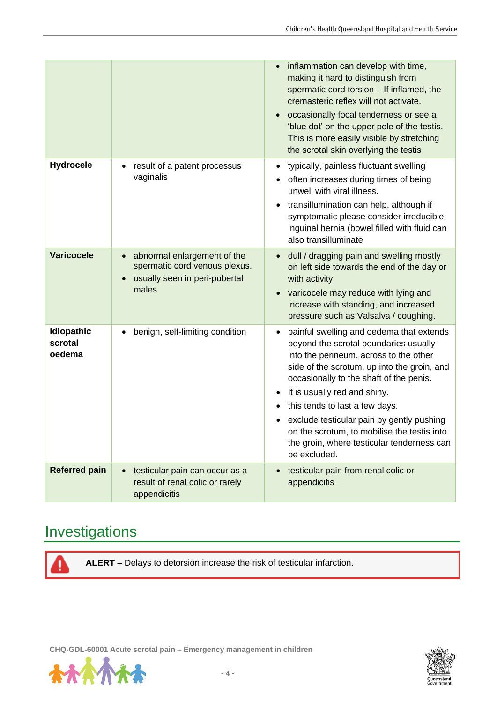|                                        |                                                                                                                                  | inflammation can develop with time,<br>$\bullet$<br>making it hard to distinguish from<br>spermatic cord torsion - If inflamed, the<br>cremasteric reflex will not activate.<br>occasionally focal tenderness or see a<br>$\bullet$<br>'blue dot' on the upper pole of the testis.<br>This is more easily visible by stretching<br>the scrotal skin overlying the testis                                                                                                                 |
|----------------------------------------|----------------------------------------------------------------------------------------------------------------------------------|------------------------------------------------------------------------------------------------------------------------------------------------------------------------------------------------------------------------------------------------------------------------------------------------------------------------------------------------------------------------------------------------------------------------------------------------------------------------------------------|
| <b>Hydrocele</b>                       | result of a patent processus<br>٠<br>vaginalis                                                                                   | typically, painless fluctuant swelling<br>٠<br>often increases during times of being<br>٠<br>unwell with viral illness.<br>transillumination can help, although if<br>$\bullet$<br>symptomatic please consider irreducible<br>inguinal hernia (bowel filled with fluid can<br>also transilluminate                                                                                                                                                                                       |
| <b>Varicocele</b>                      | abnormal enlargement of the<br>$\bullet$<br>spermatic cord venous plexus.<br>usually seen in peri-pubertal<br>$\bullet$<br>males | dull / dragging pain and swelling mostly<br>$\bullet$<br>on left side towards the end of the day or<br>with activity<br>varicocele may reduce with lying and<br>$\bullet$<br>increase with standing, and increased<br>pressure such as Valsalva / coughing.                                                                                                                                                                                                                              |
| <b>Idiopathic</b><br>scrotal<br>oedema | benign, self-limiting condition<br>$\bullet$                                                                                     | painful swelling and oedema that extends<br>$\bullet$<br>beyond the scrotal boundaries usually<br>into the perineum, across to the other<br>side of the scrotum, up into the groin, and<br>occasionally to the shaft of the penis.<br>It is usually red and shiny.<br>$\bullet$<br>this tends to last a few days.<br>$\bullet$<br>exclude testicular pain by gently pushing<br>on the scrotum, to mobilise the testis into<br>the groin, where testicular tenderness can<br>be excluded. |
| <b>Referred pain</b>                   | testicular pain can occur as a<br>$\bullet$<br>result of renal colic or rarely<br>appendicitis                                   | testicular pain from renal colic or<br>$\bullet$<br>appendicitis                                                                                                                                                                                                                                                                                                                                                                                                                         |

# Investigations

**ALERT –** Delays to detorsion increase the risk of testicular infarction.



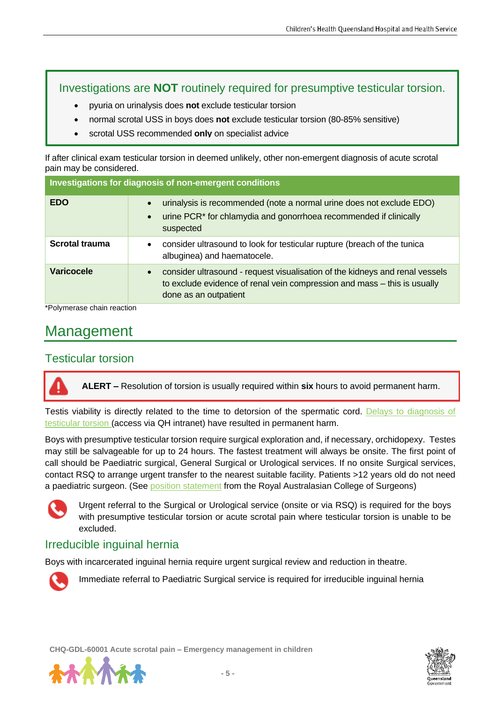#### Investigations are **NOT** routinely required for presumptive testicular torsion.

- pyuria on urinalysis does **not** exclude testicular torsion
- normal scrotal USS in boys does **not** exclude testicular torsion (80-85% sensitive)
- scrotal USS recommended **only** on specialist advice

If after clinical exam testicular torsion in deemed unlikely, other non-emergent diagnosis of acute scrotal pain may be considered.

| Investigations for diagnosis of non-emergent conditions |                                                                                                                                                                                   |  |  |  |
|---------------------------------------------------------|-----------------------------------------------------------------------------------------------------------------------------------------------------------------------------------|--|--|--|
| <b>EDO</b>                                              | urinalysis is recommended (note a normal urine does not exclude EDO)<br>urine PCR <sup>*</sup> for chlamydia and gonorrhoea recommended if clinically<br>suspected                |  |  |  |
| <b>Scrotal trauma</b>                                   | consider ultrasound to look for testicular rupture (breach of the tunica<br>albuginea) and haematocele.                                                                           |  |  |  |
| <b>Varicocele</b>                                       | consider ultrasound - request visualisation of the kidneys and renal vessels<br>to exclude evidence of renal vein compression and mass - this is usually<br>done as an outpatient |  |  |  |

\*Polymerase chain reaction

# Management

#### Testicular torsion

**ALERT –** Resolution of torsion is usually required within **six** hours to avoid permanent harm.

Testis viability is directly related to the time to detorsion of the spermatic cord. Delays to diagnosis of [testicular torsion \(](https://qheps.health.qld.gov.au/__data/assets/pdf_file/0022/1400278/psc-ttortion.pdf)access via QH intranet) have resulted in permanent harm.

Boys with presumptive testicular torsion require surgical exploration and, if necessary, orchidopexy. Testes may still be salvageable for up to 24 hours. The fastest treatment will always be onsite. The first point of call should be Paediatric surgical, General Surgical or Urological services. If no onsite Surgical services, contact RSQ to arrange urgent transfer to the nearest suitable facility. Patients >12 years old do not need a paediatric surgeon. (See [position statement](https://www.surgeons.org/-/media/Project/RACS/surgeons-org/files/position-papers/2017-05-04_pos_fes-pst-055_surgery_in_children.pdf?rev=7418161599684b558a998372f7760479&hash=2A3B46AD2E0EC9EB97868AF8494E37CD) from the Royal Australasian College of Surgeons)



Urgent referral to the Surgical or Urological service (onsite or via RSQ) is required for the boys with presumptive testicular torsion or acute scrotal pain where testicular torsion is unable to be excluded.

#### Irreducible inguinal hernia

Boys with incarcerated inguinal hernia require urgent surgical review and reduction in theatre.



Immediate referral to Paediatric Surgical service is required for irreducible inguinal hernia



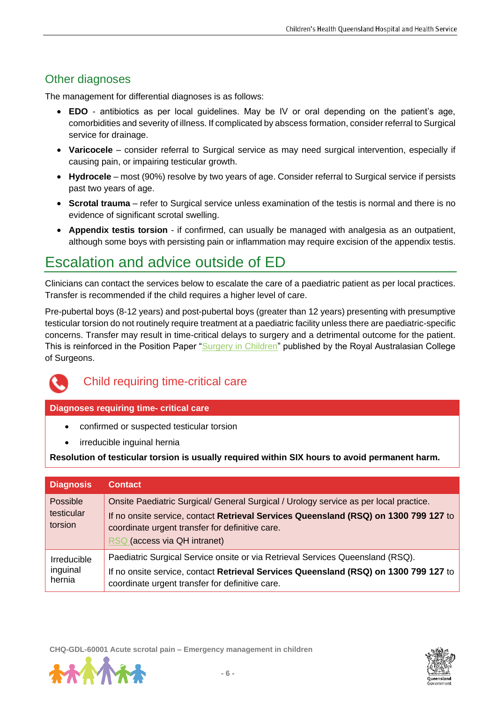### Other diagnoses

The management for differential diagnoses is as follows:

- **EDO** antibiotics as per local guidelines. May be IV or oral depending on the patient's age, comorbidities and severity of illness. If complicated by abscess formation, consider referral to Surgical service for drainage.
- **Varicocele** consider referral to Surgical service as may need surgical intervention, especially if causing pain, or impairing testicular growth.
- **Hydrocele** most (90%) resolve by two years of age. Consider referral to Surgical service if persists past two years of age.
- **Scrotal trauma** refer to Surgical service unless examination of the testis is normal and there is no evidence of significant scrotal swelling.
- **Appendix testis torsion** if confirmed, can usually be managed with analgesia as an outpatient, although some boys with persisting pain or inflammation may require excision of the appendix testis.

# Escalation and advice outside of ED

Clinicians can contact the services below to escalate the care of a paediatric patient as per local practices. Transfer is recommended if the child requires a higher level of care.

Pre-pubertal boys (8-12 years) and post-pubertal boys (greater than 12 years) presenting with presumptive testicular torsion do not routinely require treatment at a paediatric facility unless there are paediatric-specific concerns. Transfer may result in time-critical delays to surgery and a detrimental outcome for the patient. This is reinforced in the Position Paper ["Surgery in Children"](https://www.surgeons.org/-/media/Project/RACS/surgeons-org/files/position-papers/2017-05-04_pos_fes-pst-055_surgery_in_children.pdf?rev=7418161599684b558a998372f7760479&hash=2A3B46AD2E0EC9EB97868AF8494E37CD) published by the Royal Australasian College of Surgeons.



#### Child requiring time-critical care

#### **Diagnoses requiring time- critical care**

- confirmed or suspected testicular torsion
- irreducible inguinal hernia

**Resolution of testicular torsion is usually required within SIX hours to avoid permanent harm.**

| <b>Diagnosis</b>                  | <b>Contact</b>                                                                                                                                                                                                                                                   |
|-----------------------------------|------------------------------------------------------------------------------------------------------------------------------------------------------------------------------------------------------------------------------------------------------------------|
| Possible<br>testicular<br>torsion | Onsite Paediatric Surgical/ General Surgical / Urology service as per local practice.<br>If no onsite service, contact Retrieval Services Queensland (RSQ) on 1300 799 127 to<br>coordinate urgent transfer for definitive care.<br>RSQ (access via QH intranet) |
| Irreducible<br>inguinal<br>hernia | Paediatric Surgical Service onsite or via Retrieval Services Queensland (RSQ).<br>If no onsite service, contact Retrieval Services Queensland (RSQ) on 1300 799 127 to<br>coordinate urgent transfer for definitive care.                                        |



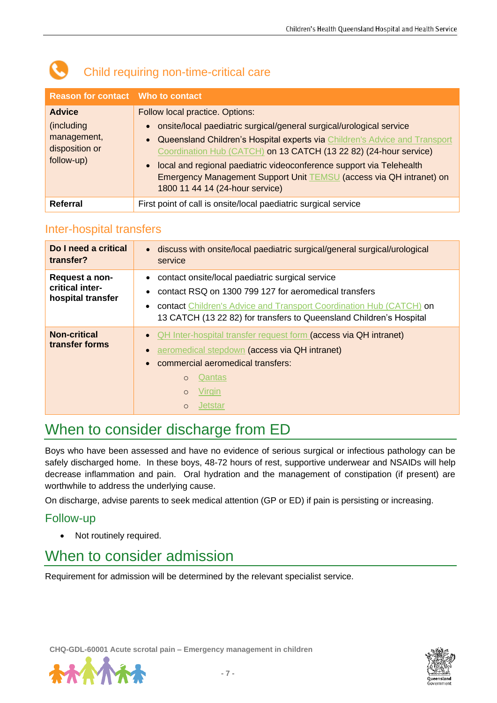| <b>Reason for contact</b> Who to contact                                    |                                                                                                                                                                                                                                                                                                                                                                                                                                                                                     |
|-----------------------------------------------------------------------------|-------------------------------------------------------------------------------------------------------------------------------------------------------------------------------------------------------------------------------------------------------------------------------------------------------------------------------------------------------------------------------------------------------------------------------------------------------------------------------------|
| <b>Advice</b><br>(including)<br>management,<br>disposition or<br>follow-up) | Follow local practice. Options:<br>onsite/local paediatric surgical/general surgical/urological service<br>$\bullet$<br>Queensland Children's Hospital experts via Children's Advice and Transport<br>$\bullet$<br>Coordination Hub (CATCH) on 13 CATCH (13 22 82) (24-hour service)<br>local and regional paediatric videoconference support via Telehealth<br>$\bullet$<br>Emergency Management Support Unit TEMSU (access via QH intranet) on<br>1800 11 44 14 (24-hour service) |
| <b>Referral</b>                                                             | First point of call is onsite/local paediatric surgical service                                                                                                                                                                                                                                                                                                                                                                                                                     |

# Child requiring non-time-critical care

#### Inter-hospital transfers

| Do I need a critical<br>transfer?                      | • discuss with onsite/local paediatric surgical/general surgical/urological<br>service                                                                                                                                                                                              |
|--------------------------------------------------------|-------------------------------------------------------------------------------------------------------------------------------------------------------------------------------------------------------------------------------------------------------------------------------------|
| Request a non-<br>critical inter-<br>hospital transfer | • contact onsite/local paediatric surgical service<br>contact RSQ on 1300 799 127 for aeromedical transfers<br>$\bullet$<br>contact Children's Advice and Transport Coordination Hub (CATCH) on<br>$\bullet$<br>13 CATCH (13 22 82) for transfers to Queensland Children's Hospital |
| <b>Non-critical</b><br>transfer forms                  | • QH Inter-hospital transfer request form (access via QH intranet)<br>aeromedical stepdown (access via QH intranet)<br>commercial aeromedical transfers:<br>$\bullet$<br>Qantas<br>$\Omega$<br>Virgin<br>$\circ$<br><b>Jetstar</b><br>$\Omega$                                      |

# When to consider discharge from ED

Boys who have been assessed and have no evidence of serious surgical or infectious pathology can be safely discharged home. In these boys, 48-72 hours of rest, supportive underwear and NSAIDs will help decrease inflammation and pain. Oral hydration and the management of constipation (if present) are worthwhile to address the underlying cause.

On discharge, advise parents to seek medical attention (GP or ED) if pain is persisting or increasing.

#### Follow-up

• Not routinely required.

# When to consider admission

Requirement for admission will be determined by the relevant specialist service.

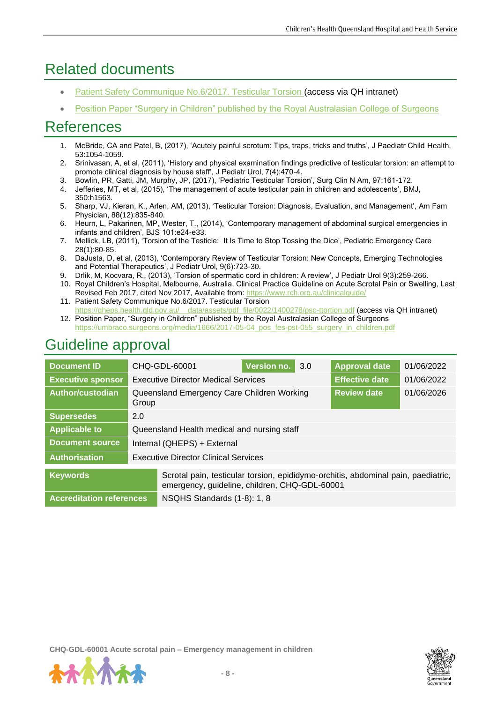# Related documents

- [Patient Safety Communique No.6/2017. Testicular Torsion \(](https://qheps.health.qld.gov.au/__data/assets/pdf_file/0022/1400278/psc-ttortion.pdf)access via QH intranet)
- [Position Paper "Surgery in Children" published by the Royal Australasian College of Surgeons](https://umbraco.surgeons.org/media/1666/2017-05-04_pos_fes-pst-055_surgery_in_children.pdf)

# **References**

- 1. McBride, CA and Patel, B, (2017), 'Acutely painful scrotum: Tips, traps, tricks and truths', J Paediatr Child Health, 53:1054-1059.
- 2. Srinivasan, A, et al, (2011), 'History and physical examination findings predictive of testicular torsion: an attempt to promote clinical diagnosis by house staff', J Pediatr Urol, 7(4):470-4.
- 3. Bowlin, PR, Gatti, JM, Murphy, JP, (2017), 'Pediatric Testicular Torsion', Surg Clin N Am, 97:161-172.
- 4. Jefferies, MT, et al, (2015), 'The management of acute testicular pain in children and adolescents', BMJ, 350:h1563.
- 5. Sharp, VJ, Kieran, K., Arlen, AM, (2013), 'Testicular Torsion: Diagnosis, Evaluation, and Management', Am Fam Physician, 88(12):835-840.
- 6. Heurn, L, Pakarinen, MP, Wester, T., (2014), 'Contemporary management of abdominal surgical emergencies in infants and children', BJS 101:e24-e33.
- 7. Mellick, LB, (2011), 'Torsion of the Testicle: It Is Time to Stop Tossing the Dice', Pediatric Emergency Care 28(1):80-85.
- 8. DaJusta, D, et al, (2013), 'Contemporary Review of Testicular Torsion: New Concepts, Emerging Technologies and Potential Therapeutics', J Pediatr Urol, 9(6):723-30.
- 9. Drlik, M, Kocvara, R., (2013), 'Torsion of spermatic cord in children: A review', J Pediatr Urol 9(3):259-266.
- 10. Royal Children's Hospital, Melbourne, Australia, Clinical Practice Guideline on Acute Scrotal Pain or Swelling, Last Revised Feb 2017, cited Nov 2017, Available from: <https://www.rch.org.au/clinicalguide/>
- 11. Patient Safety Communique No.6/2017. Testicular Torsion [https://qheps.health.qld.gov.au/\\_\\_data/assets/pdf\\_file/0022/1400278/psc-ttortion.pdf](https://qheps.health.qld.gov.au/__data/assets/pdf_file/0022/1400278/psc-ttortion.pdf) (access via QH intranet)
- 12. Position Paper, "Surgery in Children" published by the Royal Australasian College of Surgeons [https://umbraco.surgeons.org/media/1666/2017-05-04\\_pos\\_fes-pst-055\\_surgery\\_in\\_children.pdf](https://umbraco.surgeons.org/media/1666/2017-05-04_pos_fes-pst-055_surgery_in_children.pdf)

# Guideline approval

| <b>Document ID</b>              |                                             | CHQ-GDL-60001                                                                                                                      | Version no. | 3.0 | <b>Approval date</b>  | 01/06/2022 |
|---------------------------------|---------------------------------------------|------------------------------------------------------------------------------------------------------------------------------------|-------------|-----|-----------------------|------------|
| <b>Executive sponsor</b>        |                                             | <b>Executive Director Medical Services</b>                                                                                         |             |     | <b>Effective date</b> | 01/06/2022 |
| Author/custodian                | Group                                       | Queensland Emergency Care Children Working<br><b>Review date</b><br>01/06/2026                                                     |             |     |                       |            |
| <b>Supersedes</b>               | 2.0                                         |                                                                                                                                    |             |     |                       |            |
| <b>Applicable to</b>            |                                             | Queensland Health medical and nursing staff                                                                                        |             |     |                       |            |
| <b>Document source</b>          | Internal (QHEPS) + External                 |                                                                                                                                    |             |     |                       |            |
| <b>Authorisation</b>            | <b>Executive Director Clinical Services</b> |                                                                                                                                    |             |     |                       |            |
| <b>Keywords</b>                 |                                             | Scrotal pain, testicular torsion, epididymo-orchitis, abdominal pain, paediatric,<br>emergency, guideline, children, CHQ-GDL-60001 |             |     |                       |            |
| <b>Accreditation references</b> |                                             | NSQHS Standards (1-8): 1, 8                                                                                                        |             |     |                       |            |